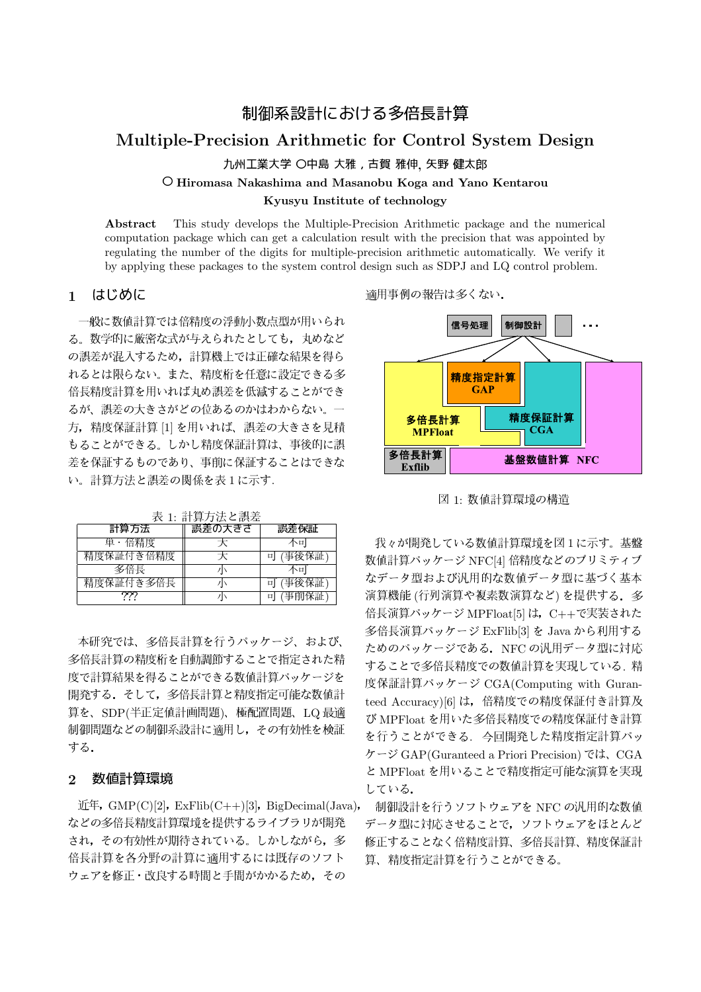# 制御系設計における多倍長計算 Multiple-Precision Arithmetic for Control System Design 九州工業大学 〇中島 大雅, 古賀 雅伸, 矢野 健太郎 O Hiromasa Nakashima and Masanobu Koga and Yano Kentarou Kyusyu Institute of technology

This study develops the Multiple-Precision Arithmetic package and the numerical Abstract computation package which can get a calculation result with the precision that was appointed by regulating the number of the digits for multiple-precision arithmetic automatically. We verify it by applying these packages to the system control design such as SDPJ and LQ control problem.

はじめに  $\mathbf{1}$ 

一般に数値計算では倍精度の浮動小数点型が用いられ る。数学的に厳密な式が与えられたとしても、丸めなど の誤差が混入するため、計算機上では正確な結果を得ら れるとは限らない。また、精度桁を任意に設定できる多 倍長精度計算を用いれば丸め誤差を低減することができ るが、誤差の大きさがどの位あるのかはわからない。一 方, 精度保証計算 [1] を用いれば、誤差の大きさを見積 もることができる。しかし精度保証計算は、事後的に誤 差を保証するものであり、事前に保証することはできな い。計算方法と誤差の関係を表1に示す.

| 計算方法      | 誤差の大きさ | 誤差保証   |  |  |  |
|-----------|--------|--------|--|--|--|
| 単・倍精度     |        | 不可     |  |  |  |
| 精度保証付き倍精度 |        | (事後保証) |  |  |  |
| 多倍長       |        | ヘロ     |  |  |  |
| 精度保証付き多倍長 |        | (事後保証) |  |  |  |
|           |        |        |  |  |  |

表 1. 計算方法と調差

本研究では、多倍長計算を行うパッケージ、および、 多倍長計算の精度桁を自動調節することで指定された精 度で計算結果を得ることができる数値計算パッケージを 開発する。そして、多倍長計算と精度指定可能な数値計 算を、SDP(半正定値計画問題)、極配置問題、LQ 最適 制御問題などの制御系設計に適用し、その有効性を検証 する.

#### 数値計算環境  $\overline{2}$

 $\text{if }F, \text{ GMP}(C)[2], \text{ ExFlib}(C++)[3], \text{ BigDecimal}(Java),$ などの多倍長精度計算環境を提供するライブラリが開発 され、その有効性が期待されている。しかしながら、多 倍長計算を各分野の計算に適用するには既存のソフト ウェアを修正・改良する時間と手間がかかるため、その

適用事例の報告は多くない.



図 1: 数値計算環境の構造

我々が開発している数値計算環境を図1に示す。基盤 数値計算パッケージ NFC[4] 倍精度などのプリミティブ なデータ型および汎用的な数値データ型に基づく基本 演算機能(行列演算や複素数演算など)を提供する。多 倍長演算パッケージ MPFloat[5] は、C++で実装された 多倍長演算パッケージ ExFlib[3] を Java から利用する ためのパッケージである. NFC の汎用データ型に対応 することで多倍長精度での数値計算を実現している. 精 度保証計算パッケージ CGA(Computing with Guranteed Accuracy) [6] は、倍精度での精度保証付き計算及 び MPFloat を用いた多倍長精度での精度保証付き計算 を行うことができる、今回開発した精度指定計算パッ ケージ GAP(Guranteed a Priori Precision) では、CGA と MPFloat を用いることで精度指定可能な演算を実現 している.

制御設計を行うソフトウェアを NFC の汎用的な数値 データ型に対応させることで、ソフトウェアをほとんど 修正することなく倍精度計算、多倍長計算、精度保証計 算、精度指定計算を行うことができる。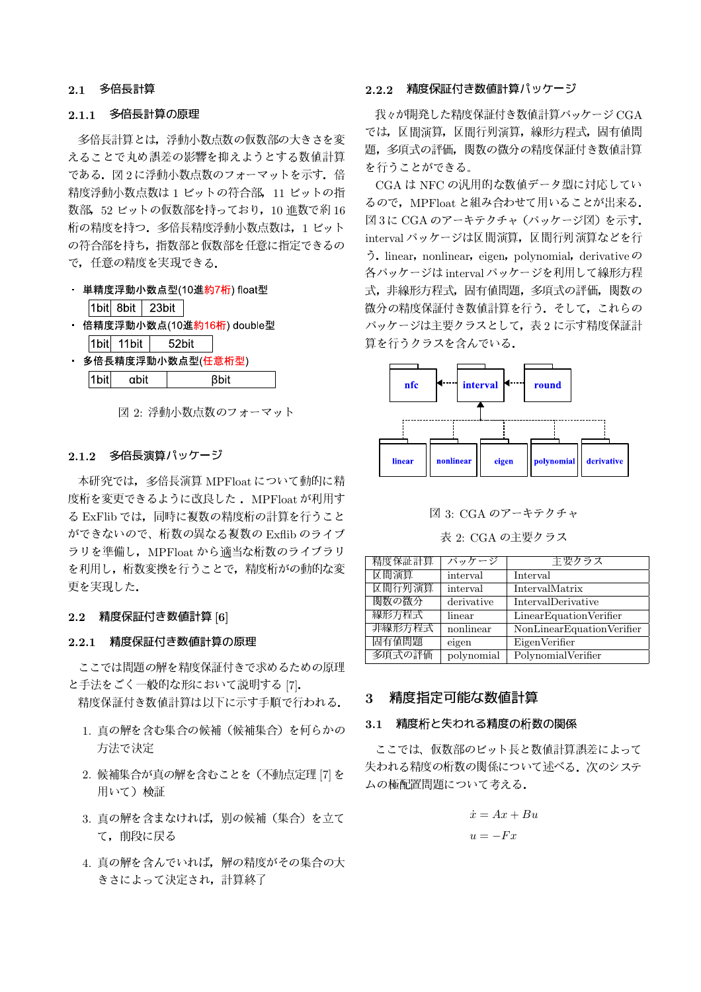# 2.1 多倍長計算

# 2.1.1 多倍長計算の原理

多倍長計算とは、浮動小数点数の仮数部の大きさを変 えることで丸め誤差の影響を抑えようとする数値計算 である。図2に浮動小数点数のフォーマットを示す。倍 精度浮動小数点数は1ビットの符合部. 11ビットの指 数部, 52 ビットの仮数部を持っており, 10 進数で約16 桁の精度を持つ. 多倍長精度浮動小数点数は, 1ビット の符合部を持ち、指数部と仮数部を任意に指定できるの で、任意の精度を実現できる.

- · 単精度浮動小数点型(10進約7桁) float型  $|1$ bit $|8$ bit  $|23$ bit
- 倍精度浮動小数点(10進<mark>約16桁</mark>) double型
- $|1$ bit $|11$ bit 52bit
- 多倍長精度浮動小数点型(任意桁型)  $|1$ bit αbit **Bbit**

図 2: 浮動小数点数のフォーマット

# 2.1.2 多倍長演算パッケージ

本研究では、多倍長演算 MPFloat について動的に精 度桁を変更できるように改良した. MPFloat が利用す る ExFlib では、同時に複数の精度桁の計算を行うこと ができないので、桁数の異なる複数の Exflib のライブ ラリを準備し、MPFloatから適当な桁数のライブラリ を利用し、桁数変換を行うことで、精度桁がの動的な変 更を実現した.

# 2.2 精度保証付き数値計算 [6]

# 2.2.1 精度保証付き数値計算の原理

ここでは問題の解を精度保証付きで求めるための原理 と手法をごく一般的な形において説明する[7].

精度保証付き数値計算は以下に示す手順で行われる.

- 1. 直の解を含む集合の候補(候補集合)を何らかの 方法で決定
- 2. 候補集合が真の解を含むことを (不動点定理 [7] を 用いて) 検証
- 3. 真の解を含まなければ、別の候補(集合)を立て て、前段に戻る
- 4. 真の解を含んでいれば、解の精度がその集合の大 きさによって決定され、計算終了

# 2.2.2 精度保証付き数値計算パッケージ

我々が開発した精度保証付き数値計算パッケージCGA では, 区間演算, 区間行列演算, 線形方程式, 固有値問 題、多項式の評価、関数の微分の精度保証付き数値計算 を行うことができる。

CGA は NFC の汎用的な数値データ型に対応してい るので、MPFloat と組み合わせて用いることが出来る. 図3に CGA のアーキテクチャ (パッケージ図) を示す. interval パッケージは区間演算、区間行列演算などを行  $\tilde{\mathcal{D}}$ . linear, nonlinear, eigen, polynomial, derivative  $\mathcal{D}$ 各パッケージは interval パッケージを利用して線形方程 式, 非線形方程式, 固有値問題, 多項式の評価, 関数の 微分の精度保証付き数値計算を行う、 そして、これらの パッケージは主要クラスとして、表2に示す精度保証計 算を行うクラスを含んでいる.



図 3: CGA のアーキテクチャ

表 2: CGA の主要クラス

| 精度保証計算 | パッケージ      | 主要クラス                     |
|--------|------------|---------------------------|
| 区間演算   | interval   | Interval                  |
| 区間行列演算 | interval   | IntervalMatrix            |
| 関数の微分  | derivative | IntervalDerivative        |
| 線形方程式  | linear     | Linear Equation Verifier  |
| 非線形方程式 | nonlinear  | NonLinearEquationVerifier |
| 固有值問題  | eigen      | EigenVerifier             |
| 多項式の評価 | polynomial | PolynomialVerifier        |

#### 精度指定可能な数値計算  $\mathbf{3}$

#### 3.1 精度桁と失われる精度の桁数の関係

ここでは、仮数部のビット長と数値計算誤差によって 失われる精度の桁数の関係について述べる。次のシステ ムの極配置問題について考える.

$$
\dot{x} = Ax + Bu
$$

$$
u = -Fx
$$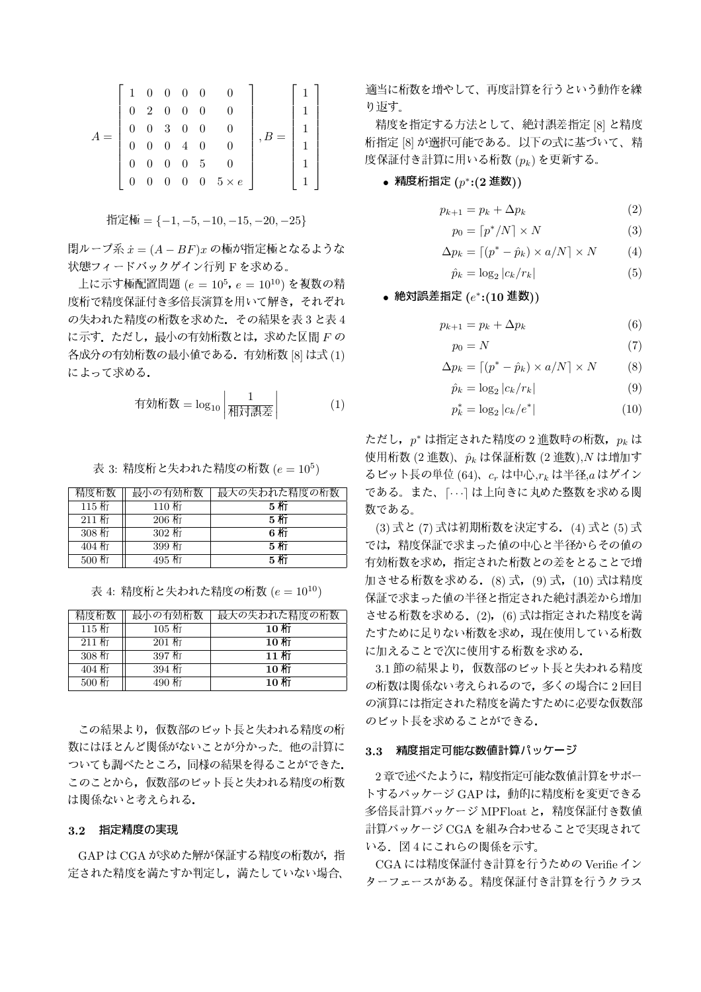$$
A = \begin{bmatrix} 1 & 0 & 0 & 0 & 0 & 0 \\ 0 & 2 & 0 & 0 & 0 & 0 \\ 0 & 0 & 3 & 0 & 0 & 0 \\ 0 & 0 & 0 & 4 & 0 & 0 \\ 0 & 0 & 0 & 0 & 5 & 0 \\ 0 & 0 & 0 & 0 & 0 & 5 \times e \end{bmatrix}, B = \begin{bmatrix} 1 \\ 1 \\ 1 \\ 1 \\ 1 \\ 1 \end{bmatrix}
$$

閉ループ系 $\dot{x} = (A - BF)x$ の極が指定極となるような 状態フィードバックゲイン行列Fを求める。

上に示す極配置問題 ( $e = 10^5$ ,  $e = 10^{10}$ ) を複数の精 度桁で精度保証付き多倍長演算を用いて解き、それぞれ の失われた精度の桁数を求めた、その結果を表3と表4 に示す。ただし、最小の有効桁数とは、求めた区間 Fの 各成分の有効桁数の最小値である。有効桁数 [8] は式 (1) によって求める.

有効術数 = 
$$
\log_{10} \left| \frac{1}{\text{over} \cdot \text{R}} \right|
$$
 (1)

表 3: 精度桁と失われた精度の桁数  $(e = 10^5)$ 

| 精度桁数    | 最小の有効桁数  | 最大の失われた精度の桁数 |
|---------|----------|--------------|
| 115桁    | 110桁     | 5 AT         |
| $211$ 桁 | $206$ MT | <b>5桁</b>    |
| $308$ 桁 | 302 桁    | 6 桁          |
| 404 桁   | 399 桁    | 5. AT        |
| 500 桁   | 495 桁    | 5. 桁         |

表 4: 精度桁と失われた精度の桁数  $(e = 10^{10})$ 

| 精度桁数             | 最小の有効桁数         | 最大の失われた精度の桁数 |
|------------------|-----------------|--------------|
| $115$ 桁          | $105$ 桁         | 10 MT        |
| $211$ 桁          | $201$ 桁         | 10 KT        |
| $308$ 桁          | 397 桁           | 11 KT        |
| $404$ $\text{M}$ | $394 \text{ m}$ | 10 MT        |
| 500 桁            | 490 桁           | 10 MT        |

この結果より、仮数部のビット長と失われる精度の桁 数にはほとんど関係がないことが分かった。他の計算に ついても調べたところ, 同様の結果を得ることができた. このことから、仮数部のビット長と失われる精度の桁数 は関係ないと考えられる.

### 3.2 指定精度の実現

GAP は CGA が求めた解が保証する精度の桁数が、指 定された精度を満たすか判定し、満たしていない場合、

適当に桁数を増やして、再度計算を行うという動作を繰 り版す。

精度を指定する方法として、絶対誤差指定 [8] と精度 桁指定[8]が選択可能である。以下の式に基づいて、精 度保証付き計算に用いる桁数 $(p_k)$ を更新する。

### • 精度桁指定  $(p^*:(2 \t{H})$

$$
p_{k+1} = p_k + \Delta p_k \tag{2}
$$

$$
p_0 = \lceil p^* / N \rceil \times N \tag{3}
$$

$$
\Delta p_k = \left[ (p^* - \hat{p}_k) \times a/N \right] \times N \tag{4}
$$

$$
\hat{p}_k = \log_2 |c_k/r_k| \tag{5}
$$

• 絶対誤差指定  $(e^*:(10 \t{E}))$ 

$$
p_{k+1} = p_k + \Delta p_k \tag{6}
$$

$$
p_0 = N \tag{7}
$$

$$
\Delta p_k = \left[ (p^* - \hat{p}_k) \times a/N \right] \times N \tag{8}
$$

$$
\hat{p}_k = \log_2|c_k/r_k| \tag{9}
$$

$$
p_k^* = \log_2 |c_k/e^*| \tag{10}
$$

ただし、 $p^*$ は指定された精度の2進数時の桁数,  $p_k$ は 使用桁数 (2進数)、 $\hat{p}_k$ は保証桁数 (2進数), Nは増加す るビット長の単位 (64)、 $c_r$  は中心, $r_k$  は半径, $a$  はゲイン である。また、「…」は上向きに丸めた整数を求める関 数である。

(3) 式と(7) 式は初期桁数を決定する. (4) 式と(5) 式 では、精度保証で求まった値の中心と半径からその値の 有効桁数を求め、指定された桁数との差をとることで増 加させる桁数を求める。(8)式, (9)式, (10)式は精度 保証で求まった値の半径と指定された絶対誤差から増加 させる桁数を求める。(2), (6) 式は指定された精度を満 たすために足りない桁数を求め、現在使用している桁数 に加えることで次に使用する桁数を求める.

3.1 節の結果より、仮数部のビット長と失われる精度 の桁数は関係ない考えられるので、多くの場合に2回目 の演算には指定された精度を満たすために必要な仮数部 のビット長を求めることができる.

#### 3.3 精度指定可能な数値計算パッケージ

2章で述べたように、精度指定可能な数値計算をサポー トするパッケージ GAP は、動的に精度桁を変更できる 多倍長計算パッケージ MPFloat と、精度保証付き数値 計算パッケージ CGA を組み合わせることで実現されて いる。図4にこれらの関係を示す。

CGA には精度保証付き計算を行うための Verifie イン ターフェースがある。精度保証付き計算を行うクラス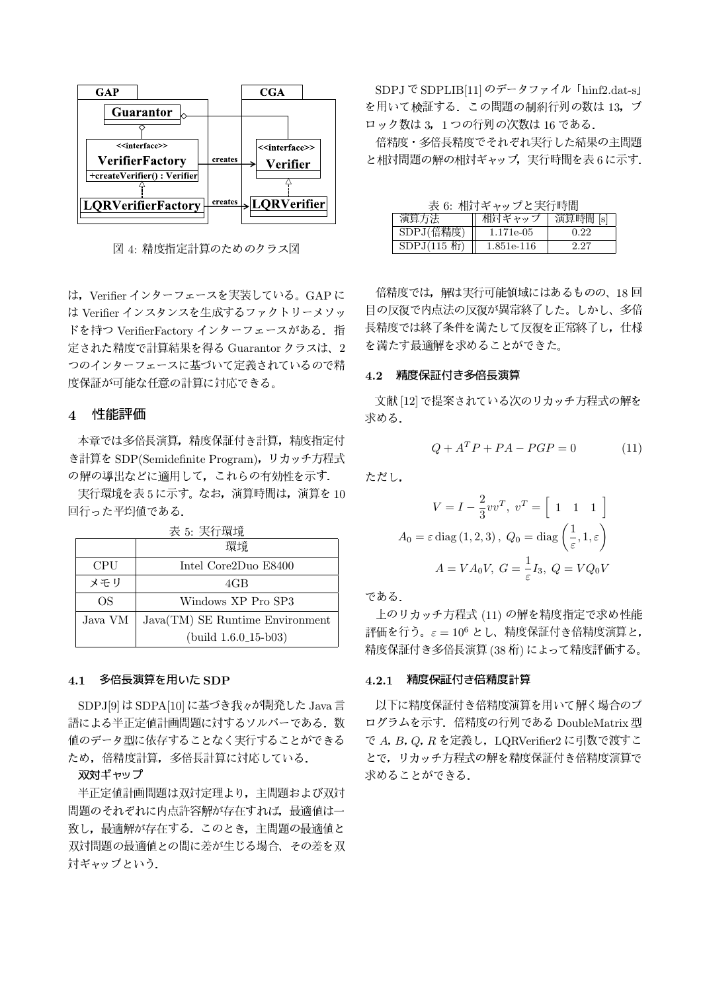

図 4: 精度指定計算のためのクラス図

は、Verifier インターフェースを実装している。GAPに は Verifier インスタンスを生成するファクトリーメソッ ドを持つ VerifierFactory インターフェースがある. 指 定された精度で計算結果を得る Guarantor クラスは、2 つのインターフェースに基づいて定義されているので精 度保証が可能な任意の計算に対応できる。

# 4 性能評価

本章では多倍長演算、精度保証付き計算、精度指定付 き計算を SDP(Semidefinite Program), リカッチ方程式 の解の導出などに適用して、これらの有効性を示す.

実行環境を表5に示す。なお、演算時間は、演算を10 回行った平均値である.

|            | 環境                              |
|------------|---------------------------------|
| <b>CPU</b> | Intel Core2Duo E8400            |
| メモリ        | 4GB                             |
| OS         | Windows XP Pro SP3              |
| Java VM    | Java(TM) SE Runtime Environment |
|            | $(build 1.6.0.15-b03)$          |

#### 表 5: 実行環境

# 4.1 多倍長演算を用いた SDP

SDPJ[9] は SDPA[10] に基づき我々が開発した Java言 語による半正定値計画問題に対するソルバーである。数 値のデータ型に依存することなく実行することができる ため、倍精度計算、多倍長計算に対応している.

#### 双対ギャップ

半正定値計画問題は双対定理より、主問題および双対 問題のそれぞれに内点許容解が存在すれば、最適値は一 致し、最適解が存在する。このとき、主問題の最適値と 双対問題の最適値との間に差が生じる場合、その差を双 対ギャップという.

SDPJ で SDPLIB[11] のデータファイル「hinf2.dat-s」 を用いて検証する。この問題の制約行列の数は13. ブ ロック数は 3. 1つの行列の次数は16である.

倍精度・多倍長精度でそれぞれ実行した結果の主問題 と相対問題の解の相対ギャップ,実行時間を表6に示す.

| 表 6: 相対ギャップと実行時間       |            |          |  |  |  |
|------------------------|------------|----------|--|--|--|
| 演算方法                   | 相対ギャップ     | 演算時間 [s] |  |  |  |
| SDPJ(倍精度)              | 1.171e-05  | 0.22     |  |  |  |
| $SDPJ(115 \text{ hr})$ | 1.851e-116 | 2.27     |  |  |  |

倍精度では、解は実行可能領域にはあるものの、18回 目の反復で内点法の反復が異常終了した。しかし、多倍 長精度では終了条件を満たして反復を正常終了し、仕様 を満たす最適解を求めることができた。

### 4.2 精度保証付き多倍長演算

文献 [12] で提案されている次のリカッチ方程式の解を 求める.

$$
Q + A^T P + P A - P G P = 0 \tag{11}
$$

ただし.

$$
V = I - \frac{2}{3}vv^{T}, v^{T} = \left[1 \quad 1 \quad 1\right]
$$

$$
A_{0} = \varepsilon \operatorname{diag}(1, 2, 3), Q_{0} = \operatorname{diag}\left(\frac{1}{\varepsilon}, 1, \varepsilon\right)
$$

$$
A = VA_{0}V, G = \frac{1}{\varepsilon}I_{3}, Q = VQ_{0}V
$$

である.

上のリカッチ方程式 (11) の解を精度指定で求め性能 評価を行う。 $\varepsilon = 10^6$  とし、精度保証付き倍精度演算と, 精度保証付き多倍長演算 (38桁)によって精度評価する。

# 4.2.1 精度保証付き倍精度計算

以下に精度保証付き倍精度演算を用いて解く場合のプ ログラムを示す. 倍精度の行列である DoubleMatrix 型 で A, B, Q, R を定義し, LORVerifier2 に引数で渡すこ とで、リカッチ方程式の解を精度保証付き倍精度演算で 求めることができる.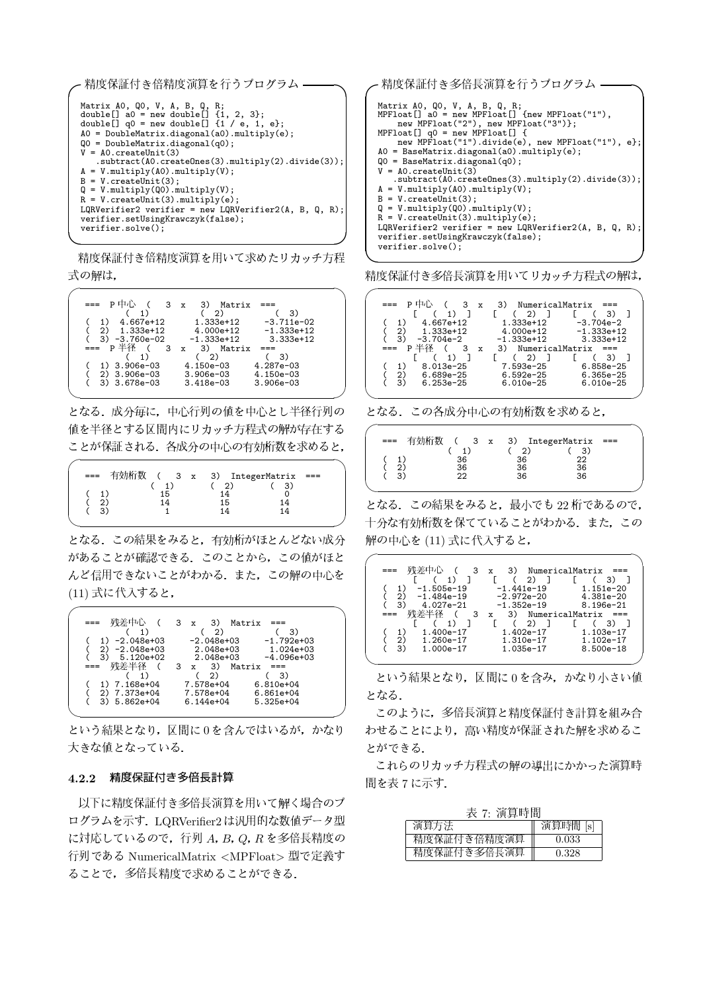| ← 精度保証付き倍精度演算を行うプログラム                                                                                                                                                                                                                                                                                                                                                                                        |
|--------------------------------------------------------------------------------------------------------------------------------------------------------------------------------------------------------------------------------------------------------------------------------------------------------------------------------------------------------------------------------------------------------------|
| Matrix AO, QO, V, A, B, Q, R;<br>double[] a0 = new double[] $\{1, 2, 3\}$ ;<br>double[] $q0 = new double[] {1 / e, 1, e};$<br>$A0 = DoubleMatrix.diagonal(a0).multiply(e);$<br>$Q0 = DoubleMatrix.diagonal(q0);$<br>$V = AO.createUnit(3)$<br>$.$ subtract( $A0$ .createOnes(3).multiply(2).divide(3));<br>$A = V.multiply(A0).multiply(V);$<br>$B = V.createUnit(3)$ :<br>$Q = V.multiply(Q0).multiply(V);$ |
| $R = V$ . createUnit(3). multiply(e);                                                                                                                                                                                                                                                                                                                                                                        |
| LQRVerifier2 verifier = new LQRVerifier2(A, B, Q, R);<br>verifier.setUsingKrawczyk(false);                                                                                                                                                                                                                                                                                                                   |
| $verifier.solve()$ ;                                                                                                                                                                                                                                                                                                                                                                                         |

精度保証付き倍精度演算を用いて求めたリカッチ方程 式の解は,

| p申心<br>$3 \times$ | 3)<br>Matrix  |               |
|-------------------|---------------|---------------|
| 1)                | 2)            | 3)            |
| 4.667e+12         | $1.333e+12$   | $-3.711e-02$  |
| 1.333e+12<br>2)   | 4.000e+12     | $-1.333e+12$  |
| -3.760e-02<br>3)  | $-1.333e+12$  | $3.333e+12$   |
| p半径<br>$_{3}$     | x 3) Matrix   |               |
|                   | (2)           | -3)           |
| 3.906e-03         | $4.150e - 03$ | $4.287e - 03$ |
| 3.906e-03<br>2)   | $3.906e - 03$ | $4.150e-03$   |
| 3) 3.678e-03      | $3.418e-03$   | $3.906e - 03$ |
|                   |               |               |

となる。成分毎に、中心行列の値を中心とし半径行列の 値を半径とする区間内にリカッチ方程式の解が存在する ことが保証される。各成分の中心の有効桁数を求めると,

| --- |    | 有効桁数 ( 3 x 3) IntegerMatrix | ---- |  |
|-----|----|-----------------------------|------|--|
|     |    |                             |      |  |
|     | 15 | 1⊿                          |      |  |
|     |    | 15                          | 14   |  |
|     |    | 1 Л                         | 14   |  |
|     |    |                             |      |  |

となる。この結果をみると、有効桁がほとんどない成分 があることが確認できる。このことから、この値がほと んど信用できないことがわかる。また。この解の中心を (11) 式に代入すると,

| 残差中心             | $3 \times$<br>3)<br>Matrix     |  |
|------------------|--------------------------------|--|
|                  | 3)<br>っ                        |  |
| -2.048e+03       | $-2.048e + 03$<br>$-1.792e+03$ |  |
| -2.048e+03<br>2) | 2.048e+03<br>$1.024e+03$       |  |
| 5.120e+02<br>3)  | 2.048e+03<br>$-4.096e+03$      |  |
| 残差半径             | $3 \times 3$<br>Matrix<br>---  |  |
|                  | 2)<br>3)                       |  |
| 7.168e+04        | 7.578e+04<br>$6.810e + 04$     |  |
| 2) 7.373e+04     | 7.578e+04<br>$6.861e+04$       |  |
| $3) 5.862e+04$   | $6.144e+04$<br>$5.325e+04$     |  |
|                  |                                |  |

という結果となり、区間に0を含んではいるが、かなり 大きな値となっている。

# 4.2.2 精度保証付き多倍長計算

以下に精度保証付き多倍長演算を用いて解く場合のプ ログラムを示す. LQRVerifier2 は汎用的な数値データ型 に対応しているので, 行列 A, B, Q, R を多倍長精度の 行列である NumericalMatrix <MPFloat>型で定義す ることで、多倍長精度で求めることができる.

| Matrix AO, QO, V, A, B, Q, R;<br>$MPF$ loat $[]$ a $0 = new MPF$ loat $[]$ ${new MPF}$ loat $("1")$ ,<br>new MPFloat("2"), new MPFloat("3")};<br>MPFloat $\left[\right]$ q0 = new MPFloat $\left[\right]$ {<br>$A0 = BaseMatrix.diagonal(a0).multiply(e);$<br>$Q0 = BaseMatrix.diagonal(q0);$<br>$V = AO.createUnit(3)$<br>$A = V.multiply(A0).multiply(V);$<br>$B = V.createUnit(3)$ ;<br>$Q = V.multiply(Q0).multiply(V);$<br>$R = V.\text{createUnit}(3) . \text{multiply}(e);$<br>verifier.setUsingKrawczyk(false);<br>$verifier.solve()$ ; | 精度保証付き多倍長演算を行うプログラム                                   |
|-------------------------------------------------------------------------------------------------------------------------------------------------------------------------------------------------------------------------------------------------------------------------------------------------------------------------------------------------------------------------------------------------------------------------------------------------------------------------------------------------------------------------------------------------|-------------------------------------------------------|
|                                                                                                                                                                                                                                                                                                                                                                                                                                                                                                                                                 | new MPFloat("1").divide(e), new MPFloat("1"), e};     |
|                                                                                                                                                                                                                                                                                                                                                                                                                                                                                                                                                 | $.$ subtract(A0.createOnes(3).multiply(2).divide(3)); |
|                                                                                                                                                                                                                                                                                                                                                                                                                                                                                                                                                 | LQRVerifier2 verifier = new LQRVerifier2(A, B, Q, R); |

精度保証付き多倍長演算を用いてリカッチ方程式の解は,



となる。この各成分中心の有効桁数を求めると,

|  | 有効桁数 |    |                         |    |     |  |
|--|------|----|-------------------------|----|-----|--|
|  |      |    | $(3 x 3)$ IntegerMatrix |    | === |  |
|  |      |    |                         | 3) |     |  |
|  |      | 36 | 36                      | つつ |     |  |
|  |      | 36 | 36                      | 36 |     |  |
|  |      | つつ | 36                      | 36 |     |  |
|  |      |    |                         |    |     |  |

となる. この結果をみると, 最小でも 22 桁であるので, 十分な有効桁数を保てていることがわかる。また、この 解の中心を (11) 式に代入すると,

|                     | 3)<br>$\mathbf{x}$                    | NumericalMatrix |  |
|---------------------|---------------------------------------|-----------------|--|
| 1)                  | 2) T                                  | 3)              |  |
| -1.505e-19          | -1.441e-19                            | $1.151e - 20$   |  |
| -1.484e-19<br>っ     | $-2.972e-20$                          | $4.381e - 20$   |  |
| 3)<br>$4.027e - 21$ | $-1.352e-19$                          | 8.196e-21       |  |
| 残差半径                | 3)<br>NumericalMatrix<br>$\mathbf{x}$ |                 |  |
| 1)                  | $(2)$ 1                               | 3) T            |  |
| 1.400e-17           | 1.402e-17                             | $1.103e-17$     |  |
| າ`<br>$1.260e-17$   | $1.310e-17$                           | $1.102e-17$     |  |
| З.<br>$1.000e-17$   | 1.035e-17                             | $8.500e-18$     |  |
|                     |                                       |                 |  |

という結果となり、区間に0を含み、かなり小さい値 となる.

このように、多倍長演算と精度保証付き計算を組み合 わせることにより、高い精度が保証された解を求めるこ とができる.

これらのリカッチ方程式の解の導出にかかった演算時 間を表7に示す.

| 表 7: 演算時間   |          |  |  |
|-------------|----------|--|--|
| 演算方法        | 演算時間 [s] |  |  |
| 精度保証付き倍精度演算 | 0.033    |  |  |
| 精度保証付き多倍長演算 | 0.328    |  |  |